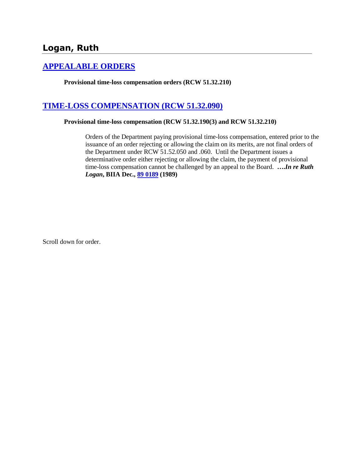# **Logan, Ruth**

# **[APPEALABLE ORDERS](http://www.biia.wa.gov/SDSubjectIndex.html#APPEALABLE_ORDERS)**

**Provisional time-loss compensation orders (RCW 51.32.210)** 

# **[TIME-LOSS COMPENSATION \(RCW 51.32.090\)](http://www.biia.wa.gov/SDSubjectIndex.html#TIME_LOSS_COMPENSATION)**

### **Provisional time-loss compensation (RCW 51.32.190(3) and RCW 51.32.210)**

Orders of the Department paying provisional time-loss compensation, entered prior to the issuance of an order rejecting or allowing the claim on its merits, are not final orders of the Department under RCW 51.52.050 and .060. Until the Department issues a determinative order either rejecting or allowing the claim, the payment of provisional time-loss compensation cannot be challenged by an appeal to the Board. **….***In re Ruth Logan***, BIIA Dec., [89 0189](http://www.biia.wa.gov/significantdecisions/890189.htm) (1989)** 

Scroll down for order.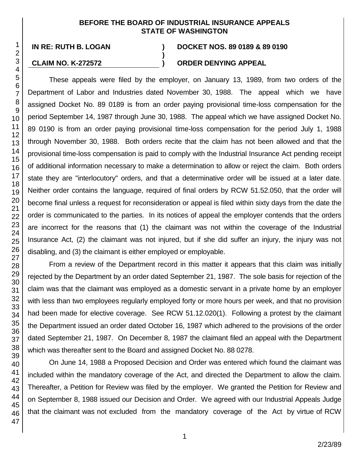## **BEFORE THE BOARD OF INDUSTRIAL INSURANCE APPEALS STATE OF WASHINGTON**

**)**

**IN RE: RUTH B. LOGAN ) DOCKET NOS. 89 0189 & 89 0190**

## **CLAIM NO. K-272572 ) ORDER DENYING APPEAL**

These appeals were filed by the employer, on January 13, 1989, from two orders of the Department of Labor and Industries dated November 30, 1988. The appeal which we have assigned Docket No. 89 0189 is from an order paying provisional time-loss compensation for the period September 14, 1987 through June 30, 1988. The appeal which we have assigned Docket No. 89 0190 is from an order paying provisional time-loss compensation for the period July 1, 1988 through November 30, 1988. Both orders recite that the claim has not been allowed and that the provisional time-loss compensation is paid to comply with the Industrial Insurance Act pending receipt of additional information necessary to make a determination to allow or reject the claim. Both orders state they are "interlocutory" orders, and that a determinative order will be issued at a later date. Neither order contains the language, required of final orders by RCW 51.52.050, that the order will become final unless a request for reconsideration or appeal is filed within sixty days from the date the order is communicated to the parties. In its notices of appeal the employer contends that the orders are incorrect for the reasons that (1) the claimant was not within the coverage of the Industrial Insurance Act, (2) the claimant was not injured, but if she did suffer an injury, the injury was not disabling, and (3) the claimant is either employed or employable.

From a review of the Department record in this matter it appears that this claim was initially rejected by the Department by an order dated September 21, 1987. The sole basis for rejection of the claim was that the claimant was employed as a domestic servant in a private home by an employer with less than two employees regularly employed forty or more hours per week, and that no provision had been made for elective coverage. See RCW 51.12.020(1). Following a protest by the claimant the Department issued an order dated October 16, 1987 which adhered to the provisions of the order dated September 21, 1987. On December 8, 1987 the claimant filed an appeal with the Department which was thereafter sent to the Board and assigned Docket No. 88 0278.

On June 14, 1988 a Proposed Decision and Order was entered which found the claimant was included within the mandatory coverage of the Act, and directed the Department to allow the claim. Thereafter, a Petition for Review was filed by the employer. We granted the Petition for Review and on September 8, 1988 issued our Decision and Order. We agreed with our Industrial Appeals Judge that the claimant was not excluded from the mandatory coverage of the Act by virtue of RCW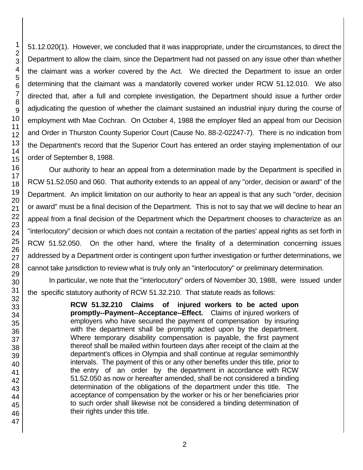51.12.020(1). However, we concluded that it was inappropriate, under the circumstances, to direct the Department to allow the claim, since the Department had not passed on any issue other than whether the claimant was a worker covered by the Act. We directed the Department to issue an order determining that the claimant was a mandatorily covered worker under RCW 51.12.010. We also directed that, after a full and complete investigation, the Department should issue a further order adjudicating the question of whether the claimant sustained an industrial injury during the course of employment with Mae Cochran. On October 4, 1988 the employer filed an appeal from our Decision and Order in Thurston County Superior Court (Cause No. 88-2-02247-7). There is no indication from the Department's record that the Superior Court has entered an order staying implementation of our order of September 8, 1988.

Our authority to hear an appeal from a determination made by the Department is specified in RCW 51.52.050 and 060. That authority extends to an appeal of any "order, decision or award" of the Department. An implicit limitation on our authority to hear an appeal is that any such "order, decision or award" must be a final decision of the Department. This is not to say that we will decline to hear an appeal from a final decision of the Department which the Department chooses to characterize as an "interlocutory" decision or which does not contain a recitation of the parties' appeal rights as set forth in RCW 51.52.050. On the other hand, where the finality of a determination concerning issues addressed by a Department order is contingent upon further investigation or further determinations, we cannot take jurisdiction to review what is truly only an "interlocutory" or preliminary determination.

In particular, we note that the "interlocutory" orders of November 30, 1988, were issued under the specific statutory authority of RCW 51.32.210. That statute reads as follows:

> **RCW 51.32.210 Claims of injured workers to be acted upon promptly--Payment--Acceptance--Effect.** Claims of injured workers of employers who have secured the payment of compensation by insuring with the department shall be promptly acted upon by the department. Where temporary disability compensation is payable, the first payment thereof shall be mailed within fourteen days after receipt of the claim at the department's offices in Olympia and shall continue at regular semimonthly intervals. The payment of this or any other benefits under this title, prior to the entry of an order by the department in accordance with RCW 51.52.050 as now or hereafter amended, shall be not considered a binding determination of the obligations of the department under this title. The acceptance of compensation by the worker or his or her beneficiaries prior to such order shall likewise not be considered a binding determination of their rights under this title.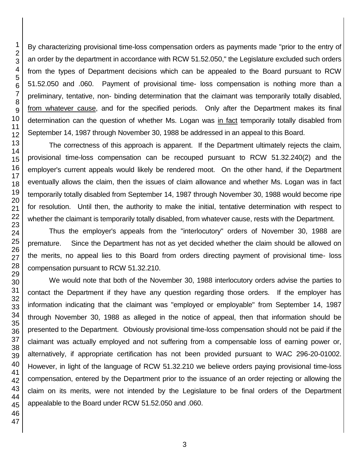By characterizing provisional time-loss compensation orders as payments made "prior to the entry of an order by the department in accordance with RCW 51.52.050," the Legislature excluded such orders from the types of Department decisions which can be appealed to the Board pursuant to RCW 51.52.050 and .060. Payment of provisional time- loss compensation is nothing more than a preliminary, tentative, non- binding determination that the claimant was temporarily totally disabled, from whatever cause, and for the specified periods. Only after the Department makes its final determination can the question of whether Ms. Logan was in fact temporarily totally disabled from September 14, 1987 through November 30, 1988 be addressed in an appeal to this Board.

The correctness of this approach is apparent. If the Department ultimately rejects the claim, provisional time-loss compensation can be recouped pursuant to RCW 51.32.240(2) and the employer's current appeals would likely be rendered moot. On the other hand, if the Department eventually allows the claim, then the issues of claim allowance and whether Ms. Logan was in fact temporarily totally disabled from September 14, 1987 through November 30, 1988 would become ripe for resolution. Until then, the authority to make the initial, tentative determination with respect to whether the claimant is temporarily totally disabled, from whatever cause, rests with the Department.

Thus the employer's appeals from the "interlocutory" orders of November 30, 1988 are premature. Since the Department has not as yet decided whether the claim should be allowed on the merits, no appeal lies to this Board from orders directing payment of provisional time- loss compensation pursuant to RCW 51.32.210.

We would note that both of the November 30, 1988 interlocutory orders advise the parties to contact the Department if they have any question regarding those orders. If the employer has information indicating that the claimant was "employed or employable" from September 14, 1987 through November 30, 1988 as alleged in the notice of appeal, then that information should be presented to the Department. Obviously provisional time-loss compensation should not be paid if the claimant was actually employed and not suffering from a compensable loss of earning power or, alternatively, if appropriate certification has not been provided pursuant to WAC 296-20-01002. However, in light of the language of RCW 51.32.210 we believe orders paying provisional time-loss compensation, entered by the Department prior to the issuance of an order rejecting or allowing the claim on its merits, were not intended by the Legislature to be final orders of the Department appealable to the Board under RCW 51.52.050 and .060.